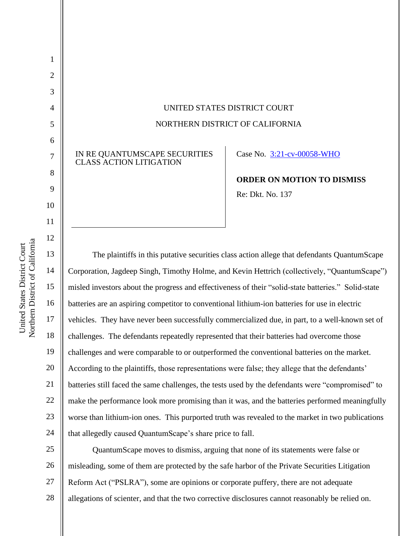UNITED STATES DISTRICT COURT NORTHERN DISTRICT OF CALIFORNIA

IN RE QUANTUMSCAPE SECURITIES CLASS ACTION LITIGATION

Case No. [3:21-cv-00058-WHO](https://cand-ecf.sso.dcn/cgi-bin/DktRpt.pl?371504) 

**ORDER ON MOTION TO DISMISS** Re: Dkt. No. 137

The plaintiffs in this putative securities class action allege that defendants QuantumScape Corporation, Jagdeep Singh, Timothy Holme, and Kevin Hettrich (collectively, "QuantumScape") misled investors about the progress and effectiveness of their "solid-state batteries." Solid-state batteries are an aspiring competitor to conventional lithium-ion batteries for use in electric vehicles. They have never been successfully commercialized due, in part, to a well-known set of challenges. The defendants repeatedly represented that their batteries had overcome those challenges and were comparable to or outperformed the conventional batteries on the market. According to the plaintiffs, those representations were false; they allege that the defendants' batteries still faced the same challenges, the tests used by the defendants were "compromised" to make the performance look more promising than it was, and the batteries performed meaningfully worse than lithium-ion ones. This purported truth was revealed to the market in two publications that allegedly caused QuantumScape's share price to fall.

25 26 27 28 QuantumScape moves to dismiss, arguing that none of its statements were false or misleading, some of them are protected by the safe harbor of the Private Securities Litigation Reform Act ("PSLRA"), some are opinions or corporate puffery, there are not adequate allegations of scienter, and that the two corrective disclosures cannot reasonably be relied on.

1

2

3

4

5

6

7

8

9

10

11

12

13

14

15

16

17

18

19

20

21

22

23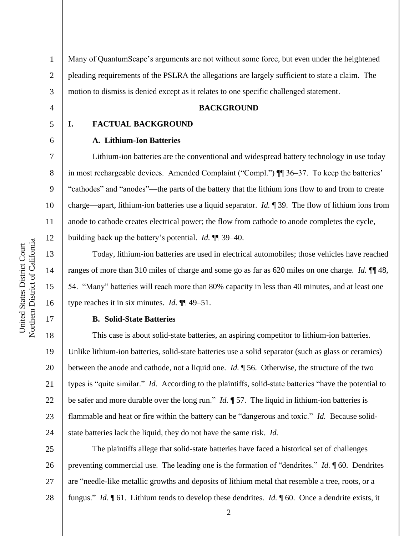2 3 Many of QuantumScape's arguments are not without some force, but even under the heightened pleading requirements of the PSLRA the allegations are largely sufficient to state a claim. The motion to dismiss is denied except as it relates to one specific challenged statement.

### **BACKGROUND**

#### 5

4

6

7

8

9

10

11

12

13

14

15

16

17

1

#### **A. Lithium-Ion Batteries**

**I. FACTUAL BACKGROUND**

Lithium-ion batteries are the conventional and widespread battery technology in use today in most rechargeable devices. Amended Complaint ("Compl.") ¶¶ 36–37. To keep the batteries' "cathodes" and "anodes"—the parts of the battery that the lithium ions flow to and from to create charge—apart, lithium-ion batteries use a liquid separator. *Id.* ¶ 39. The flow of lithium ions from anode to cathode creates electrical power; the flow from cathode to anode completes the cycle, building back up the battery's potential. *Id.* ¶¶ 39–40.

Today, lithium-ion batteries are used in electrical automobiles; those vehicles have reached ranges of more than 310 miles of charge and some go as far as 620 miles on one charge. *Id.* ¶¶ 48, 54. "Many" batteries will reach more than 80% capacity in less than 40 minutes, and at least one type reaches it in six minutes. *Id.* ¶¶ 49–51.

#### **B. Solid-State Batteries**

18 19 20 21 22 23 24 This case is about solid-state batteries, an aspiring competitor to lithium-ion batteries. Unlike lithium-ion batteries, solid-state batteries use a solid separator (such as glass or ceramics) between the anode and cathode, not a liquid one. *Id.* ¶ 56. Otherwise, the structure of the two types is "quite similar." *Id.* According to the plaintiffs, solid-state batteries "have the potential to be safer and more durable over the long run." *Id.* ¶ 57. The liquid in lithium-ion batteries is flammable and heat or fire within the battery can be "dangerous and toxic." *Id.* Because solidstate batteries lack the liquid, they do not have the same risk. *Id.*

25 26 27 28 The plaintiffs allege that solid-state batteries have faced a historical set of challenges preventing commercial use. The leading one is the formation of "dendrites." *Id.* ¶ 60. Dendrites are "needle-like metallic growths and deposits of lithium metal that resemble a tree, roots, or a fungus." *Id.* ¶ 61. Lithium tends to develop these dendrites. *Id.* ¶ 60. Once a dendrite exists, it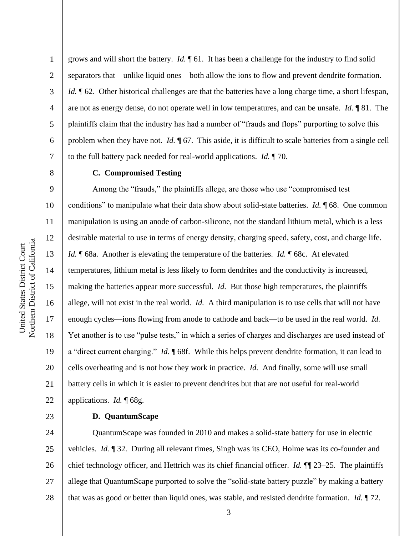2

3

4

5

6

7

8

9

10

11

12

13

14

15

16

17

18

19

20

21

22

23

grows and will short the battery. *Id.* ¶ 61. It has been a challenge for the industry to find solid separators that—unlike liquid ones—both allow the ions to flow and prevent dendrite formation. *Id.*  $\parallel$  62. Other historical challenges are that the batteries have a long charge time, a short lifespan, are not as energy dense, do not operate well in low temperatures, and can be unsafe. *Id.* ¶ 81. The plaintiffs claim that the industry has had a number of "frauds and flops" purporting to solve this problem when they have not. *Id.*  $\sqrt{67}$ . This aside, it is difficult to scale batteries from a single cell to the full battery pack needed for real-world applications. *Id.* ¶ 70.

## **C. Compromised Testing**

Among the "frauds," the plaintiffs allege, are those who use "compromised test conditions" to manipulate what their data show about solid-state batteries. *Id.* ¶ 68. One common manipulation is using an anode of carbon-silicone, not the standard lithium metal, which is a less desirable material to use in terms of energy density, charging speed, safety, cost, and charge life. *Id.* **[68a.** Another is elevating the temperature of the batteries. *Id.* **[68c.** At elevated temperatures, lithium metal is less likely to form dendrites and the conductivity is increased, making the batteries appear more successful. *Id.* But those high temperatures, the plaintiffs allege, will not exist in the real world. *Id.* A third manipulation is to use cells that will not have enough cycles—ions flowing from anode to cathode and back—to be used in the real world. *Id.*  Yet another is to use "pulse tests," in which a series of charges and discharges are used instead of a "direct current charging." *Id.* ¶ 68f. While this helps prevent dendrite formation, it can lead to cells overheating and is not how they work in practice. *Id.* And finally, some will use small battery cells in which it is easier to prevent dendrites but that are not useful for real-world applications. *Id.* ¶ 68g.

**D. QuantumScape**

24 25 26 27 28 QuantumScape was founded in 2010 and makes a solid-state battery for use in electric vehicles. *Id.* ¶ 32. During all relevant times, Singh was its CEO, Holme was its co-founder and chief technology officer, and Hettrich was its chief financial officer. *Id.* ¶¶ 23–25. The plaintiffs allege that QuantumScape purported to solve the "solid-state battery puzzle" by making a battery that was as good or better than liquid ones, was stable, and resisted dendrite formation. *Id.* ¶ 72.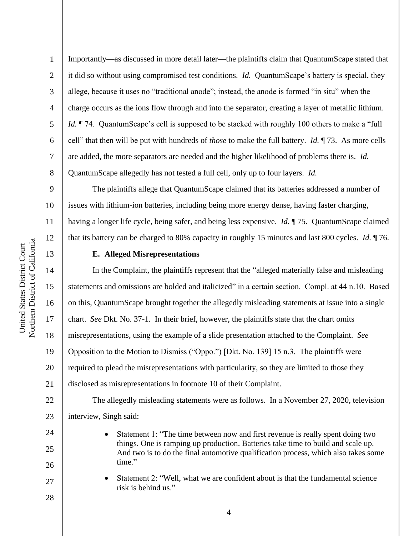1

2

3

4

5

6

7

8

13

14

15

16

17

18

19

20

21

24

25

26

27

28

Importantly—as discussed in more detail later—the plaintiffs claim that QuantumScape stated that it did so without using compromised test conditions. *Id.* QuantumScape's battery is special, they allege, because it uses no "traditional anode"; instead, the anode is formed "in situ" when the charge occurs as the ions flow through and into the separator, creating a layer of metallic lithium. *Id.*  $\P$  74. QuantumScape's cell is supposed to be stacked with roughly 100 others to make a "full" cell" that then will be put with hundreds of *those* to make the full battery. *Id.* ¶ 73. As more cells are added, the more separators are needed and the higher likelihood of problems there is. *Id.*  QuantumScape allegedly has not tested a full cell, only up to four layers. *Id.*

9 10 11 12 The plaintiffs allege that QuantumScape claimed that its batteries addressed a number of issues with lithium-ion batteries, including being more energy dense, having faster charging, having a longer life cycle, being safer, and being less expensive. *Id.* ¶ 75. QuantumScape claimed that its battery can be charged to 80% capacity in roughly 15 minutes and last 800 cycles. *Id.* ¶ 76.

## **E. Alleged Misrepresentations**

In the Complaint, the plaintiffs represent that the "alleged materially false and misleading statements and omissions are bolded and italicized" in a certain section. Compl. at 44 n.10. Based on this, QuantumScape brought together the allegedly misleading statements at issue into a single chart. *See* Dkt. No. 37-1. In their brief, however, the plaintiffs state that the chart omits misrepresentations, using the example of a slide presentation attached to the Complaint. *See*  Opposition to the Motion to Dismiss ("Oppo.") [Dkt. No. 139] 15 n.3. The plaintiffs were required to plead the misrepresentations with particularity, so they are limited to those they disclosed as misrepresentations in footnote 10 of their Complaint.

22 23 The allegedly misleading statements were as follows. In a November 27, 2020, television interview, Singh said:

- Statement 1: "The time between now and first revenue is really spent doing two things. One is ramping up production. Batteries take time to build and scale up. And two is to do the final automotive qualification process, which also takes some time."
- Statement 2: "Well, what we are confident about is that the fundamental science risk is behind us."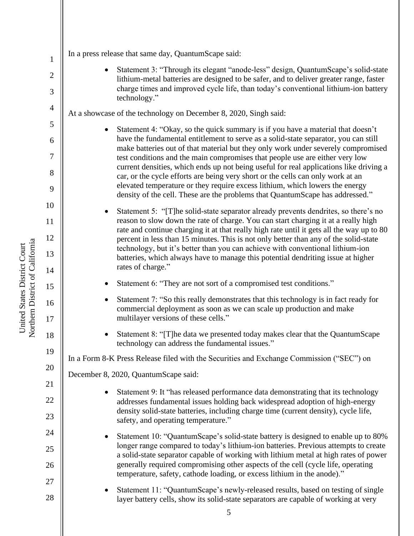| $\mathbf{1}$   | In a press release that same day, QuantumScape said:                                                                                                                                                                                                        |
|----------------|-------------------------------------------------------------------------------------------------------------------------------------------------------------------------------------------------------------------------------------------------------------|
| $\overline{c}$ | Statement 3: "Through its elegant "anode-less" design, Quantum Scape's solid-state                                                                                                                                                                          |
| 3              | lithium-metal batteries are designed to be safer, and to deliver greater range, faster<br>charge times and improved cycle life, than today's conventional lithium-ion battery<br>technology."                                                               |
| $\overline{4}$ | At a showcase of the technology on December 8, 2020, Singh said:                                                                                                                                                                                            |
| 5              | Statement 4: "Okay, so the quick summary is if you have a material that doesn't                                                                                                                                                                             |
| 6              | have the fundamental entitlement to serve as a solid-state separator, you can still                                                                                                                                                                         |
| 7              | make batteries out of that material but they only work under severely compromised<br>test conditions and the main compromises that people use are either very low<br>current densities, which ends up not being useful for real applications like driving a |
| 8              | car, or the cycle efforts are being very short or the cells can only work at an                                                                                                                                                                             |
| 9              | elevated temperature or they require excess lithium, which lowers the energy<br>density of the cell. These are the problems that QuantumScape has addressed."                                                                                               |
| 10             | Statement 5: "[T]he solid-state separator already prevents dendrites, so there's no                                                                                                                                                                         |
| 11             | reason to slow down the rate of charge. You can start charging it at a really high<br>rate and continue charging it at that really high rate until it gets all the way up to 80                                                                             |
| 12             | percent in less than 15 minutes. This is not only better than any of the solid-state                                                                                                                                                                        |
| 13             | technology, but it's better than you can achieve with conventional lithium-ion<br>batteries, which always have to manage this potential dendriting issue at higher                                                                                          |
| 14             | rates of charge."                                                                                                                                                                                                                                           |
| 15             | Statement 6: "They are not sort of a compromised test conditions."                                                                                                                                                                                          |
| 16<br>17       | Statement 7: "So this really demonstrates that this technology is in fact ready for<br>commercial deployment as soon as we can scale up production and make<br>multilayer versions of these cells."                                                         |
| 18             | Statement 8: "[T]he data we presented today makes clear that the QuantumScape<br>technology can address the fundamental issues."                                                                                                                            |
| 19             | In a Form 8-K Press Release filed with the Securities and Exchange Commission ("SEC") on                                                                                                                                                                    |
| 20             | December 8, 2020, QuantumScape said:                                                                                                                                                                                                                        |
| 21             | Statement 9: It "has released performance data demonstrating that its technology<br>٠                                                                                                                                                                       |
| 22             | addresses fundamental issues holding back widespread adoption of high-energy                                                                                                                                                                                |
| 23             | density solid-state batteries, including charge time (current density), cycle life,<br>safety, and operating temperature."                                                                                                                                  |
| 24             | Statement 10: "QuantumScape's solid-state battery is designed to enable up to 80%                                                                                                                                                                           |
| 25             | longer range compared to today's lithium-ion batteries. Previous attempts to create<br>a solid-state separator capable of working with lithium metal at high rates of power                                                                                 |
| 26             | generally required compromising other aspects of the cell (cycle life, operating<br>temperature, safety, cathode loading, or excess lithium in the anode)."                                                                                                 |
| 27             | Statement 11: "QuantumScape's newly-released results, based on testing of single                                                                                                                                                                            |
| 28             | layer battery cells, show its solid-state separators are capable of working at very                                                                                                                                                                         |

║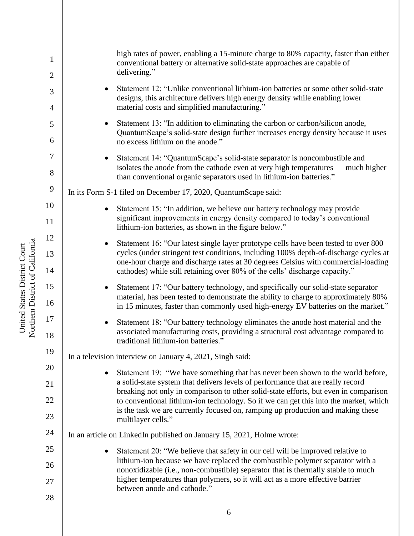1 2 3 4 5 6 7 8 9 10 11 12 13 14 15 16 17 18 19 20 21 22 23 24 25 26 27 28 high rates of power, enabling a 15-minute charge to 80% capacity, faster than either conventional battery or alternative solid-state approaches are capable of delivering." • Statement 12: "Unlike conventional lithium-ion batteries or some other solid-state designs, this architecture delivers high energy density while enabling lower material costs and simplified manufacturing." Statement 13: "In addition to eliminating the carbon or carbon/silicon anode, QuantumScape's solid-state design further increases energy density because it uses no excess lithium on the anode." • Statement 14: "QuantumScape's solid-state separator is noncombustible and isolates the anode from the cathode even at very high temperatures — much higher than conventional organic separators used in lithium-ion batteries." In its Form S-1 filed on December 17, 2020, QuantumScape said: Statement 15: "In addition, we believe our battery technology may provide significant improvements in energy density compared to today's conventional lithium-ion batteries, as shown in the figure below." • Statement 16: "Our latest single layer prototype cells have been tested to over 800 cycles (under stringent test conditions, including 100% depth-of-discharge cycles at one-hour charge and discharge rates at 30 degrees Celsius with commercial-loading cathodes) while still retaining over 80% of the cells' discharge capacity." • Statement 17: "Our battery technology, and specifically our solid-state separator material, has been tested to demonstrate the ability to charge to approximately 80% in 15 minutes, faster than commonly used high-energy EV batteries on the market." • Statement 18: "Our battery technology eliminates the anode host material and the associated manufacturing costs, providing a structural cost advantage compared to traditional lithium-ion batteries." In a television interview on January 4, 2021, Singh said: Statement 19: "We have something that has never been shown to the world before, a solid-state system that delivers levels of performance that are really record breaking not only in comparison to other solid-state efforts, but even in comparison to conventional lithium-ion technology. So if we can get this into the market, which is the task we are currently focused on, ramping up production and making these multilayer cells." In an article on LinkedIn published on January 15, 2021, Holme wrote: • Statement 20: "We believe that safety in our cell will be improved relative to lithium-ion because we have replaced the combustible polymer separator with a nonoxidizable (i.e., non-combustible) separator that is thermally stable to much higher temperatures than polymers, so it will act as a more effective barrier between anode and cathode."

Northern District of California Northern District of California United States District Court United States District Court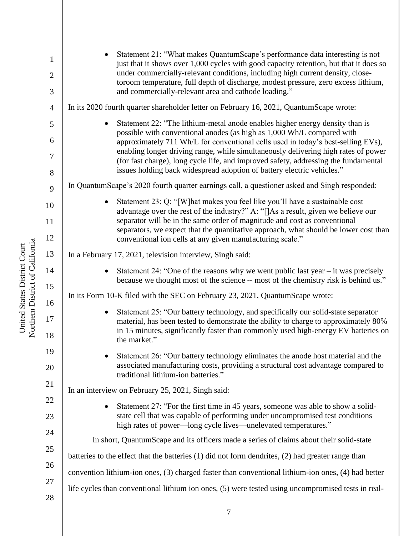| $\mathbf{1}$        | Statement 21: "What makes QuantumScape's performance data interesting is not<br>just that it shows over 1,000 cycles with good capacity retention, but that it does so<br>under commercially-relevant conditions, including high current density, close-<br>toroom temperature, full depth of discharge, modest pressure, zero excess lithium,<br>and commercially-relevant area and cathode loading." |
|---------------------|--------------------------------------------------------------------------------------------------------------------------------------------------------------------------------------------------------------------------------------------------------------------------------------------------------------------------------------------------------------------------------------------------------|
| $\overline{c}$<br>3 |                                                                                                                                                                                                                                                                                                                                                                                                        |
| $\overline{4}$      | In its 2020 fourth quarter shareholder letter on February 16, 2021, QuantumScape wrote:                                                                                                                                                                                                                                                                                                                |
| 5                   | Statement 22: "The lithium-metal anode enables higher energy density than is                                                                                                                                                                                                                                                                                                                           |
| 6                   | possible with conventional anodes (as high as 1,000 Wh/L compared with<br>approximately 711 Wh/L for conventional cells used in today's best-selling EVs),                                                                                                                                                                                                                                             |
| 7<br>$8\,$          | enabling longer driving range, while simultaneously delivering high rates of power<br>(for fast charge), long cycle life, and improved safety, addressing the fundamental<br>issues holding back widespread adoption of battery electric vehicles."                                                                                                                                                    |
| 9                   | In QuantumScape's 2020 fourth quarter earnings call, a questioner asked and Singh responded:                                                                                                                                                                                                                                                                                                           |
|                     | Statement 23: Q: "[W] hat makes you feel like you'll have a sustainable cost<br>$\bullet$                                                                                                                                                                                                                                                                                                              |
| 10                  | advantage over the rest of the industry?" A: "[]As a result, given we believe our<br>separator will be in the same order of magnitude and cost as conventional                                                                                                                                                                                                                                         |
| 11<br>12            | separators, we expect that the quantitative approach, what should be lower cost than                                                                                                                                                                                                                                                                                                                   |
|                     | conventional ion cells at any given manufacturing scale."                                                                                                                                                                                                                                                                                                                                              |
| 13                  | In a February 17, 2021, television interview, Singh said:                                                                                                                                                                                                                                                                                                                                              |
| 14<br>15            | Statement 24: "One of the reasons why we went public last year $-$ it was precisely<br>because we thought most of the science -- most of the chemistry risk is behind us."                                                                                                                                                                                                                             |
| 16                  | In its Form 10-K filed with the SEC on February 23, 2021, QuantumScape wrote:                                                                                                                                                                                                                                                                                                                          |
| 17                  | Statement 25: "Our battery technology, and specifically our solid-state separator<br>material, has been tested to demonstrate the ability to charge to approximately 80%<br>in 15 minutes, significantly faster than commonly used high-energy EV batteries on                                                                                                                                         |
| 18                  | the market."                                                                                                                                                                                                                                                                                                                                                                                           |
| 19                  | Statement 26: "Our battery technology eliminates the anode host material and the<br>associated manufacturing costs, providing a structural cost advantage compared to                                                                                                                                                                                                                                  |
| 20                  | traditional lithium-ion batteries."                                                                                                                                                                                                                                                                                                                                                                    |
| 21                  | In an interview on February 25, 2021, Singh said:                                                                                                                                                                                                                                                                                                                                                      |
| 22                  | Statement 27: "For the first time in 45 years, someone was able to show a solid-                                                                                                                                                                                                                                                                                                                       |
| 23                  | state cell that was capable of performing under uncompromised test conditions—<br>high rates of power—long cycle lives—unelevated temperatures."                                                                                                                                                                                                                                                       |
| 24                  | In short, QuantumScape and its officers made a series of claims about their solid-state                                                                                                                                                                                                                                                                                                                |
| 25                  | batteries to the effect that the batteries (1) did not form dendrites, (2) had greater range than                                                                                                                                                                                                                                                                                                      |
| 26                  | convention lithium-ion ones, (3) charged faster than conventional lithium-ion ones, (4) had better                                                                                                                                                                                                                                                                                                     |
| 27                  | life cycles than conventional lithium ion ones, (5) were tested using uncompromised tests in real-                                                                                                                                                                                                                                                                                                     |
| 28                  |                                                                                                                                                                                                                                                                                                                                                                                                        |

United States District Court<br>Northern District of California Northern District of California United States District Court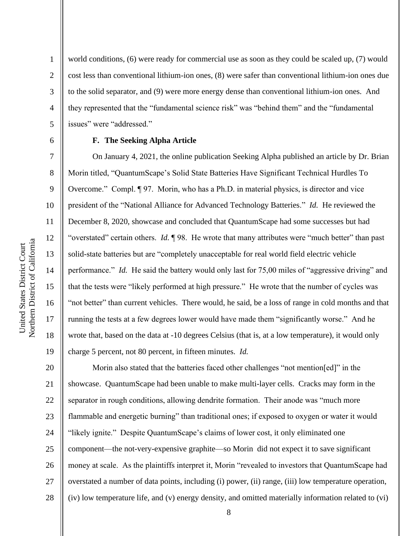world conditions, (6) were ready for commercial use as soon as they could be scaled up, (7) would cost less than conventional lithium-ion ones, (8) were safer than conventional lithium-ion ones due to the solid separator, and (9) were more energy dense than conventional lithium-ion ones. And they represented that the "fundamental science risk" was "behind them" and the "fundamental issues" were "addressed."

#### 6

1

2

3

4

5

7

8

9

10

11

12

13

14

15

16

17

18

19

# **F. The Seeking Alpha Article**

On January 4, 2021, the online publication Seeking Alpha published an article by Dr. Brian Morin titled, "QuantumScape's Solid State Batteries Have Significant Technical Hurdles To Overcome." Compl. ¶ 97. Morin, who has a Ph.D. in material physics, is director and vice president of the "National Alliance for Advanced Technology Batteries." *Id.* He reviewed the December 8, 2020, showcase and concluded that QuantumScape had some successes but had "overstated" certain others. *Id.* ¶ 98. He wrote that many attributes were "much better" than past solid-state batteries but are "completely unacceptable for real world field electric vehicle performance." *Id.* He said the battery would only last for 75,00 miles of "aggressive driving" and that the tests were "likely performed at high pressure." He wrote that the number of cycles was "not better" than current vehicles. There would, he said, be a loss of range in cold months and that running the tests at a few degrees lower would have made them "significantly worse." And he wrote that, based on the data at -10 degrees Celsius (that is, at a low temperature), it would only charge 5 percent, not 80 percent, in fifteen minutes. *Id.* 

20 21 22 23 24 25 26 27 28 Morin also stated that the batteries faced other challenges "not mention[ed]" in the showcase. QuantumScape had been unable to make multi-layer cells. Cracks may form in the separator in rough conditions, allowing dendrite formation. Their anode was "much more flammable and energetic burning" than traditional ones; if exposed to oxygen or water it would "likely ignite." Despite QuantumScape's claims of lower cost, it only eliminated one component—the not-very-expensive graphite—so Morin did not expect it to save significant money at scale. As the plaintiffs interpret it, Morin "revealed to investors that QuantumScape had overstated a number of data points, including (i) power, (ii) range, (iii) low temperature operation, (iv) low temperature life, and (v) energy density, and omitted materially information related to (vi)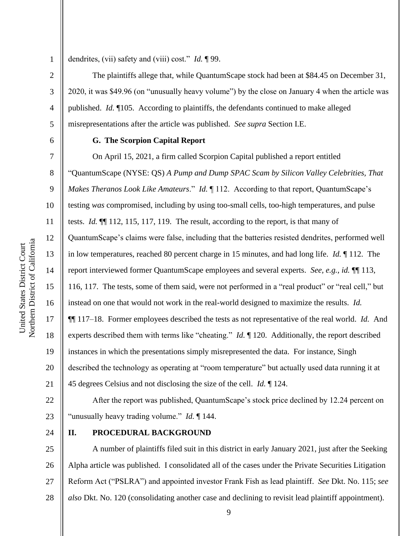Northern District of California Northern District of California 1

2

3

4

5

6

7

8

9

10

11

12

13

14

15

United States District Court

United States District Court

16

17

18

19

20

21

dendrites, (vii) safety and (viii) cost." *Id.* ¶ 99.

The plaintiffs allege that, while QuantumScape stock had been at \$84.45 on December 31, 2020, it was \$49.96 (on "unusually heavy volume") by the close on January 4 when the article was published. *Id.* ¶105. According to plaintiffs, the defendants continued to make alleged misrepresentations after the article was published. *See supra* Section I.E.

#### **G. The Scorpion Capital Report**

On April 15, 2021, a firm called Scorpion Capital published a report entitled "QuantumScape (NYSE: QS) *A Pump and Dump SPAC Scam by Silicon Valley Celebrities, That Makes Theranos Look Like Amateurs.*" *Id.* 112. According to that report, QuantumScape's testing *was* compromised, including by using too-small cells, too-high temperatures, and pulse tests. *Id.* ¶¶ 112, 115, 117, 119.The result, according to the report, is that many of QuantumScape's claims were false, including that the batteries resisted dendrites, performed well in low temperatures, reached 80 percent charge in 15 minutes, and had long life. *Id.* ¶ 112.The report interviewed former QuantumScape employees and several experts. *See, e.g.*, *id.* ¶¶ 113, 116, 117. The tests, some of them said, were not performed in a "real product" or "real cell," but instead on one that would not work in the real-world designed to maximize the results. *Id.*  ¶¶ 117–18. Former employees described the tests as not representative of the real world. *Id.* And experts described them with terms like "cheating." *Id.* ¶ 120. Additionally, the report described instances in which the presentations simply misrepresented the data. For instance, Singh described the technology as operating at "room temperature" but actually used data running it at 45 degrees Celsius and not disclosing the size of the cell. *Id.* ¶ 124.

22 23 After the report was published, QuantumScape's stock price declined by 12.24 percent on "unusually heavy trading volume." *Id.* ¶ 144.

24

## **II. PROCEDURAL BACKGROUND**

25 26 27 28 A number of plaintiffs filed suit in this district in early January 2021, just after the Seeking Alpha article was published. I consolidated all of the cases under the Private Securities Litigation Reform Act ("PSLRA") and appointed investor Frank Fish as lead plaintiff. *See* Dkt. No. 115; *see also* Dkt. No. 120 (consolidating another case and declining to revisit lead plaintiff appointment).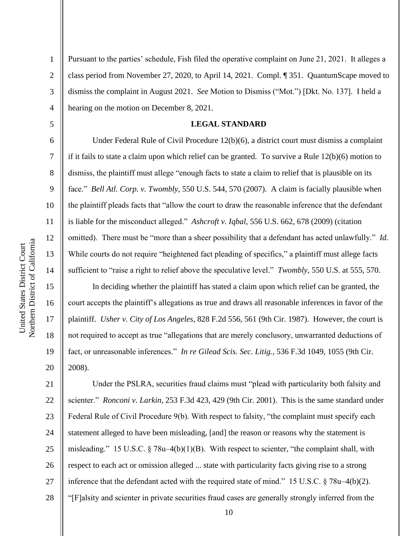2

3

4

5

6

7

8

9

10

11

12

13

14

15

16

17

18

19

20

Pursuant to the parties' schedule, Fish filed the operative complaint on June 21, 2021. It alleges a class period from November 27, 2020, to April 14, 2021. Compl. ¶ 351. QuantumScape moved to dismiss the complaint in August 2021. *See* Motion to Dismiss ("Mot.") [Dkt. No. 137]. I held a hearing on the motion on December 8, 2021.

#### **LEGAL STANDARD**

Under Federal Rule of Civil Procedure 12(b)(6), a district court must dismiss a complaint if it fails to state a claim upon which relief can be granted. To survive a Rule 12(b)(6) motion to dismiss, the plaintiff must allege "enough facts to state a claim to relief that is plausible on its face." *Bell Atl. Corp. v. Twombly*, 550 U.S. 544, 570 (2007). A claim is facially plausible when the plaintiff pleads facts that "allow the court to draw the reasonable inference that the defendant is liable for the misconduct alleged." *Ashcroft v. Iqbal*, 556 U.S. 662, 678 (2009) (citation omitted). There must be "more than a sheer possibility that a defendant has acted unlawfully." *Id.* While courts do not require "heightened fact pleading of specifics," a plaintiff must allege facts sufficient to "raise a right to relief above the speculative level." *Twombly*, 550 U.S. at 555, 570.

In deciding whether the plaintiff has stated a claim upon which relief can be granted, the court accepts the plaintiff's allegations as true and draws all reasonable inferences in favor of the plaintiff. *Usher v. City of Los Angeles*, 828 F.2d 556, 561 (9th Cir. 1987). However, the court is not required to accept as true "allegations that are merely conclusory, unwarranted deductions of fact, or unreasonable inferences." *In re Gilead Scis. Sec. Litig.*, 536 F.3d 1049, 1055 (9th Cir. 2008).

21 22 23 24 25 26 27 28 Under the PSLRA, securities fraud claims must "plead with particularity both falsity and scienter." *Ronconi v. Larkin*, 253 F.3d 423, 429 (9th Cir. 2001). This is the same standard under Federal Rule of Civil Procedure 9(b). With respect to falsity, "the complaint must specify each statement alleged to have been misleading, [and] the reason or reasons why the statement is misleading." 15 U.S.C. § 78u–4(b)(1)(B). With respect to scienter, "the complaint shall, with respect to each act or omission alleged ... state with particularity facts giving rise to a strong inference that the defendant acted with the required state of mind." 15 U.S.C. § 78u–4(b)(2). "[F]alsity and scienter in private securities fraud cases are generally strongly inferred from the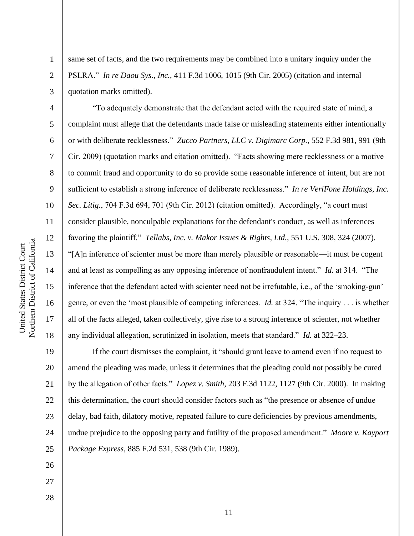2

3

4

5

6

7

8

9

10

11

12

13

14

15

16

17

18

same set of facts, and the two requirements may be combined into a unitary inquiry under the PSLRA." *In re Daou Sys., Inc.*, 411 F.3d 1006, 1015 (9th Cir. 2005) (citation and internal quotation marks omitted).

"To adequately demonstrate that the defendant acted with the required state of mind, a complaint must allege that the defendants made false or misleading statements either intentionally or with deliberate recklessness." *Zucco Partners, LLC v. Digimarc Corp.*, 552 F.3d 981, 991 (9th Cir. 2009) (quotation marks and citation omitted). "Facts showing mere recklessness or a motive to commit fraud and opportunity to do so provide some reasonable inference of intent, but are not sufficient to establish a strong inference of deliberate recklessness." *In re VeriFone Holdings, Inc. Sec. Litig.*, 704 F.3d 694, 701 (9th Cir. 2012) (citation omitted). Accordingly, "a court must consider plausible, nonculpable explanations for the defendant's conduct, as well as inferences favoring the plaintiff." *Tellabs, Inc. v. Makor Issues & Rights, Ltd.*, 551 U.S. 308, 324 (2007). "[A]n inference of scienter must be more than merely plausible or reasonable—it must be cogent and at least as compelling as any opposing inference of nonfraudulent intent." *Id.* at 314. "The inference that the defendant acted with scienter need not be irrefutable, i.e., of the 'smoking-gun' genre, or even the 'most plausible of competing inferences. *Id.* at 324. "The inquiry . . . is whether all of the facts alleged, taken collectively, give rise to a strong inference of scienter, not whether any individual allegation, scrutinized in isolation, meets that standard." *Id.* at 322–23.

19 20 21 22 23 24 25 If the court dismisses the complaint, it "should grant leave to amend even if no request to amend the pleading was made, unless it determines that the pleading could not possibly be cured by the allegation of other facts." *Lopez v. Smith*, 203 F.3d 1122, 1127 (9th Cir. 2000). In making this determination, the court should consider factors such as "the presence or absence of undue delay, bad faith, dilatory motive, repeated failure to cure deficiencies by previous amendments, undue prejudice to the opposing party and futility of the proposed amendment." *Moore v. Kayport Package Express*, 885 F.2d 531, 538 (9th Cir. 1989).

- 26 27
- 28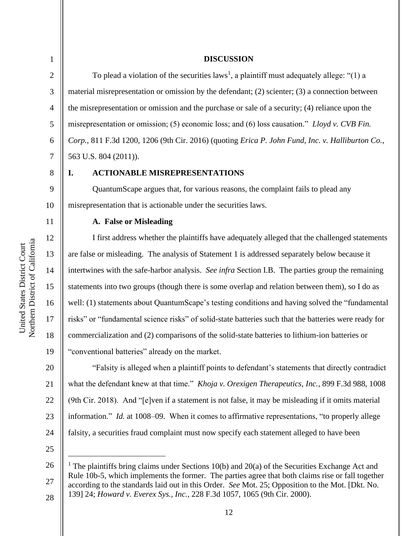#### **DISCUSSION**

To plead a violation of the securities  $laws<sup>1</sup>$ , a plaintiff must adequately allege: "(1) a material misrepresentation or omission by the defendant; (2) scienter; (3) a connection between the misrepresentation or omission and the purchase or sale of a security; (4) reliance upon the misrepresentation or omission; (5) economic loss; and (6) loss causation." *Lloyd v. CVB Fin. Corp.*, 811 F.3d 1200, 1206 (9th Cir. 2016) (quoting *Erica P. John Fund, Inc. v. Halliburton Co.*, 563 U.S. 804 (2011)).

9

10

11

12

13

14

15

16

17

18

19

20

21

22

23

24

# **I. ACTIONABLE MISREPRESENTATIONS**

QuantumScape argues that, for various reasons, the complaint fails to plead any misrepresentation that is actionable under the securities laws.

### **A. False or Misleading**

I first address whether the plaintiffs have adequately alleged that the challenged statements are false or misleading. The analysis of Statement 1 is addressed separately below because it intertwines with the safe-harbor analysis. *See infra* Section I.B. The parties group the remaining statements into two groups (though there is some overlap and relation between them), so I do as well: (1) statements about QuantumScape's testing conditions and having solved the "fundamental risks" or "fundamental science risks" of solid-state batteries such that the batteries were ready for commercialization and (2) comparisons of the solid-state batteries to lithium-ion batteries or "conventional batteries" already on the market.

"Falsity is alleged when a plaintiff points to defendant's statements that directly contradict what the defendant knew at that time." *Khoja v. Orexigen Therapeutics, Inc.*, 899 F.3d 988, 1008 (9th Cir. 2018). And "[e]ven if a statement is not false, it may be misleading if it omits material information." *Id.* at 1008–09. When it comes to affirmative representations, "to properly allege falsity, a securities fraud complaint must now specify each statement alleged to have been

25

Northern District of California Northern District of California United States District Court United States District Court

<sup>26</sup> 27 28 <sup>1</sup> The plaintiffs bring claims under Sections 10(b) and 20(a) of the Securities Exchange Act and Rule 10b-5, which implements the former. The parties agree that both claims rise or fall together according to the standards laid out in this Order. *See* Mot. 25; Opposition to the Mot. [Dkt. No. 139] 24; *Howard v. Everex Sys., Inc.*, 228 F.3d 1057, 1065 (9th Cir. 2000).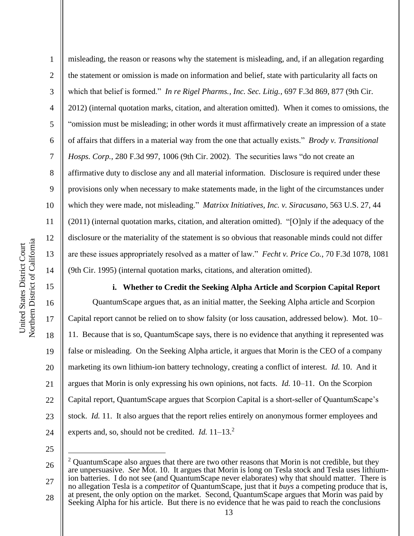16

17

18

19

20

21

22

23

24

1 2 3 4 5 6 7 8 9 10 11 12 13 14 misleading, the reason or reasons why the statement is misleading, and, if an allegation regarding the statement or omission is made on information and belief, state with particularity all facts on which that belief is formed." *In re Rigel Pharms., Inc. Sec. Litig.*, 697 F.3d 869, 877 (9th Cir. 2012) (internal quotation marks, citation, and alteration omitted). When it comes to omissions, the "omission must be misleading; in other words it must affirmatively create an impression of a state of affairs that differs in a material way from the one that actually exists." *Brody v. Transitional Hosps. Corp.*, 280 F.3d 997, 1006 (9th Cir. 2002). The securities laws "do not create an affirmative duty to disclose any and all material information. Disclosure is required under these provisions only when necessary to make statements made, in the light of the circumstances under which they were made, not misleading." *Matrixx Initiatives, Inc. v. Siracusano*, 563 U.S. 27, 44 (2011) (internal quotation marks, citation, and alteration omitted). "[O]nly if the adequacy of the disclosure or the materiality of the statement is so obvious that reasonable minds could not differ are these issues appropriately resolved as a matter of law." *Fecht v. Price Co.*, 70 F.3d 1078, 1081 (9th Cir. 1995) (internal quotation marks, citations, and alteration omitted).

**i. Whether to Credit the Seeking Alpha Article and Scorpion Capital Report**

QuantumScape argues that, as an initial matter, the Seeking Alpha article and Scorpion Capital report cannot be relied on to show falsity (or loss causation, addressed below). Mot. 10– 11. Because that is so, QuantumScape says, there is no evidence that anything it represented was false or misleading. On the Seeking Alpha article, it argues that Morin is the CEO of a company marketing its own lithium-ion battery technology, creating a conflict of interest. *Id.* 10. And it argues that Morin is only expressing his own opinions, not facts. *Id.* 10–11. On the Scorpion Capital report, QuantumScape argues that Scorpion Capital is a short-seller of QuantumScape's stock. *Id.* 11. It also argues that the report relies entirely on anonymous former employees and experts and, so, should not be credited. *Id.* 11–13.<sup>2</sup>

<sup>26</sup> 27  $2$  QuantumScape also argues that there are two other reasons that Morin is not credible, but they are unpersuasive. *See* Mot. 10. It argues that Morin is long on Tesla stock and Tesla uses lithiumion batteries. I do not see (and QuantumScape never elaborates) why that should matter. There is no allegation Tesla is a *competitor* of QuantumScape, just that it *buys* a competing produce that is,

<sup>28</sup> at present, the only option on the market. Second, QuantumScape argues that Morin was paid by Seeking Alpha for his article. But there is no evidence that he was paid to reach the conclusions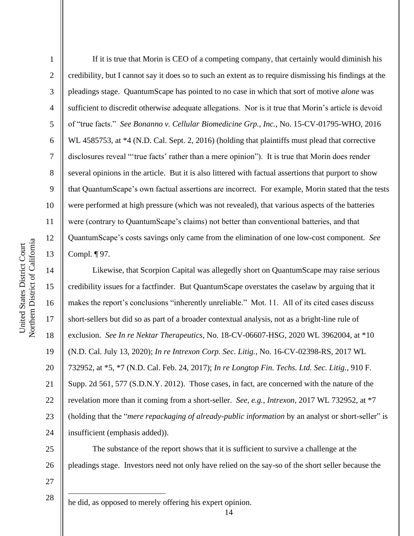15

16

17

18

19

20

21

22

23

24

1 2 3 4 5 6 7 8 9 10 11 12 13 If it is true that Morin is CEO of a competing company, that certainly would diminish his credibility, but I cannot say it does so to such an extent as to require dismissing his findings at the pleadings stage. QuantumScape has pointed to no case in which that sort of motive *alone* was sufficient to discredit otherwise adequate allegations. Nor is it true that Morin's article is devoid of "true facts." *See Bonanno v. Cellular Biomedicine Grp., Inc.*, No. 15-CV-01795-WHO, 2016 WL 4585753, at  $*4$  (N.D. Cal. Sept. 2, 2016) (holding that plaintiffs must plead that corrective disclosures reveal "'true facts' rather than a mere opinion"). It is true that Morin does render several opinions in the article. But it is also littered with factual assertions that purport to show that QuantumScape's own factual assertions are incorrect. For example, Morin stated that the tests were performed at high pressure (which was not revealed), that various aspects of the batteries were (contrary to QuantumScape's claims) not better than conventional batteries, and that QuantumScape's costs savings only came from the elimination of one low-cost component. *See*  Compl. ¶ 97.

Likewise, that Scorpion Capital was allegedly short on QuantumScape may raise serious credibility issues for a factfinder. But QuantumScape overstates the caselaw by arguing that it makes the report's conclusions "inherently unreliable." Mot. 11. All of its cited cases discuss short-sellers but did so as part of a broader contextual analysis, not as a bright-line rule of exclusion. *See In re Nektar Therapeutics*, No. 18-CV-06607-HSG, 2020 WL 3962004, at \*10 (N.D. Cal. July 13, 2020); *In re Intrexon Corp. Sec. Litig.*, No. 16-CV-02398-RS, 2017 WL 732952, at \*5, \*7 (N.D. Cal. Feb. 24, 2017); *In re Longtop Fin. Techs. Ltd. Sec. Litig.*, 910 F. Supp. 2d 561, 577 (S.D.N.Y. 2012). Those cases, in fact, are concerned with the nature of the revelation more than it coming from a short-seller. *See, e.g.*, *Intrexon*, 2017 WL 732952, at \*7 (holding that the "*mere repackaging of already-public information* by an analyst or short-seller" is insufficient (emphasis added)).

25 26 The substance of the report shows that it is sufficient to survive a challenge at the pleadings stage. Investors need not only have relied on the say-so of the short seller because the

27 28

he did, as opposed to merely offering his expert opinion.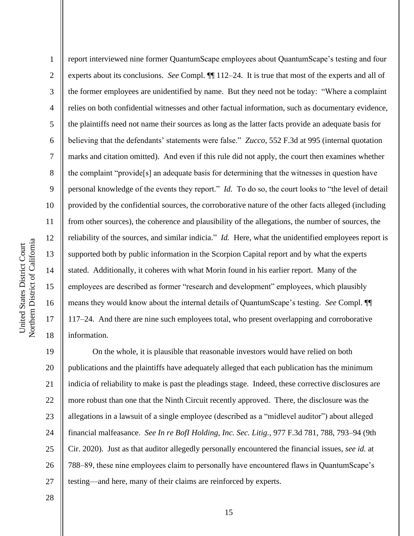2

3

4

5

8

9

11

13

14

15

17

18

6 7 10 12 16 report interviewed nine former QuantumScape employees about QuantumScape's testing and four experts about its conclusions. *See* Compl. ¶¶ 112–24. It is true that most of the experts and all of the former employees are unidentified by name. But they need not be today: "Where a complaint relies on both confidential witnesses and other factual information, such as documentary evidence, the plaintiffs need not name their sources as long as the latter facts provide an adequate basis for believing that the defendants' statements were false." *Zucco*, 552 F.3d at 995 (internal quotation marks and citation omitted). And even if this rule did not apply, the court then examines whether the complaint "provide[s] an adequate basis for determining that the witnesses in question have personal knowledge of the events they report." *Id.* To do so, the court looks to "the level of detail provided by the confidential sources, the corroborative nature of the other facts alleged (including from other sources), the coherence and plausibility of the allegations, the number of sources, the reliability of the sources, and similar indicia." *Id.* Here, what the unidentified employees report is supported both by public information in the Scorpion Capital report and by what the experts stated. Additionally, it coheres with what Morin found in his earlier report. Many of the employees are described as former "research and development" employees, which plausibly means they would know about the internal details of QuantumScape's testing. *See* Compl. ¶¶ 117–24. And there are nine such employees total, who present overlapping and corroborative information.

19 20 21 22 23 24 25 26 27 On the whole, it is plausible that reasonable investors would have relied on both publications and the plaintiffs have adequately alleged that each publication has the minimum indicia of reliability to make is past the pleadings stage. Indeed, these corrective disclosures are more robust than one that the Ninth Circuit recently approved. There, the disclosure was the allegations in a lawsuit of a single employee (described as a "midlevel auditor") about alleged financial malfeasance. *See In re BofI Holding, Inc. Sec. Litig.*, 977 F.3d 781, 788, 793–94 (9th Cir. 2020). Just as that auditor allegedly personally encountered the financial issues, *see id.* at 788–89, these nine employees claim to personally have encountered flaws in QuantumScape's testing—and here, many of their claims are reinforced by experts.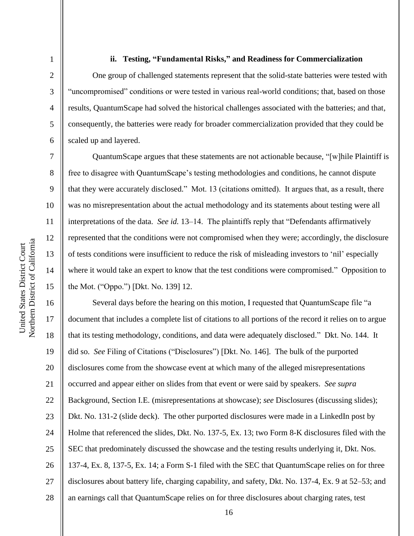2

3

4

5

6

7

8

9

10

11

12

13

14

15

### **ii. Testing, "Fundamental Risks," and Readiness for Commercialization**

One group of challenged statements represent that the solid-state batteries were tested with "uncompromised" conditions or were tested in various real-world conditions; that, based on those results, QuantumScape had solved the historical challenges associated with the batteries; and that, consequently, the batteries were ready for broader commercialization provided that they could be scaled up and layered.

QuantumScape argues that these statements are not actionable because, "[w]hile Plaintiff is free to disagree with QuantumScape's testing methodologies and conditions, he cannot dispute that they were accurately disclosed." Mot. 13 (citations omitted). It argues that, as a result, there was no misrepresentation about the actual methodology and its statements about testing were all interpretations of the data. *See id.* 13–14. The plaintiffs reply that "Defendants affirmatively represented that the conditions were not compromised when they were; accordingly, the disclosure of tests conditions were insufficient to reduce the risk of misleading investors to 'nil' especially where it would take an expert to know that the test conditions were compromised." Opposition to the Mot. ("Oppo.") [Dkt. No. 139] 12.

16 17 18 19 20 21 22 23 24 25 26 27 28 Several days before the hearing on this motion, I requested that QuantumScape file "a document that includes a complete list of citations to all portions of the record it relies on to argue that its testing methodology, conditions, and data were adequately disclosed." Dkt. No. 144. It did so. *See* Filing of Citations ("Disclosures") [Dkt. No. 146]. The bulk of the purported disclosures come from the showcase event at which many of the alleged misrepresentations occurred and appear either on slides from that event or were said by speakers. *See supra*  Background, Section I.E. (misrepresentations at showcase); *see* Disclosures (discussing slides); Dkt. No. 131-2 (slide deck). The other purported disclosures were made in a LinkedIn post by Holme that referenced the slides, Dkt. No. 137-5, Ex. 13; two Form 8-K disclosures filed with the SEC that predominately discussed the showcase and the testing results underlying it, Dkt. Nos. 137-4, Ex. 8, 137-5, Ex. 14; a Form S-1 filed with the SEC that QuantumScape relies on for three disclosures about battery life, charging capability, and safety, Dkt. No. 137-4, Ex. 9 at 52–53; and an earnings call that QuantumScape relies on for three disclosures about charging rates, test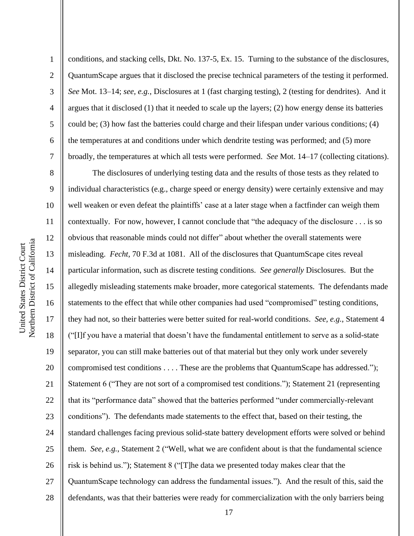2

3

4

5

6

7

8

9

10

11

12

13

14

15

16

17

18

19

20

21

22

23

24

25

26

27

28

conditions, and stacking cells, Dkt. No. 137-5, Ex. 15. Turning to the substance of the disclosures, QuantumScape argues that it disclosed the precise technical parameters of the testing it performed. *See* Mot. 13–14; *see, e.g.*, Disclosures at 1 (fast charging testing), 2 (testing for dendrites). And it argues that it disclosed (1) that it needed to scale up the layers; (2) how energy dense its batteries could be; (3) how fast the batteries could charge and their lifespan under various conditions; (4) the temperatures at and conditions under which dendrite testing was performed; and (5) more broadly, the temperatures at which all tests were performed. *See* Mot. 14–17 (collecting citations).

The disclosures of underlying testing data and the results of those tests as they related to individual characteristics (e.g., charge speed or energy density) were certainly extensive and may well weaken or even defeat the plaintiffs' case at a later stage when a factfinder can weigh them contextually. For now, however, I cannot conclude that "the adequacy of the disclosure . . . is so obvious that reasonable minds could not differ" about whether the overall statements were misleading. *Fecht*, 70 F.3d at 1081. All of the disclosures that QuantumScape cites reveal particular information, such as discrete testing conditions. *See generally* Disclosures. But the allegedly misleading statements make broader, more categorical statements. The defendants made statements to the effect that while other companies had used "compromised" testing conditions, they had not, so their batteries were better suited for real-world conditions. *See, e.g.*, Statement 4 ("[I]f you have a material that doesn't have the fundamental entitlement to serve as a solid-state separator, you can still make batteries out of that material but they only work under severely compromised test conditions . . . . These are the problems that QuantumScape has addressed."); Statement 6 ("They are not sort of a compromised test conditions."); Statement 21 (representing that its "performance data" showed that the batteries performed "under commercially-relevant conditions"). The defendants made statements to the effect that, based on their testing, the standard challenges facing previous solid-state battery development efforts were solved or behind them. *See, e.g.*, Statement 2 ("Well, what we are confident about is that the fundamental science risk is behind us."); Statement 8 ("[T]he data we presented today makes clear that the QuantumScape technology can address the fundamental issues."). And the result of this, said the defendants, was that their batteries were ready for commercialization with the only barriers being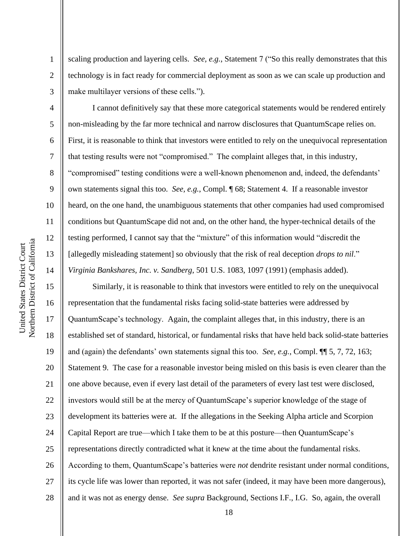1

2

3

4

5

6

7

8

9

10

11

12

13

14

15

17

18

19

21

23

25

scaling production and layering cells. *See, e.g.*, Statement 7 ("So this really demonstrates that this technology is in fact ready for commercial deployment as soon as we can scale up production and make multilayer versions of these cells.").

I cannot definitively say that these more categorical statements would be rendered entirely non-misleading by the far more technical and narrow disclosures that QuantumScape relies on. First, it is reasonable to think that investors were entitled to rely on the unequivocal representation that testing results were not "compromised." The complaint alleges that, in this industry, "compromised" testing conditions were a well-known phenomenon and, indeed, the defendants' own statements signal this too. *See, e.g.*, Compl. ¶ 68; Statement 4. If a reasonable investor heard, on the one hand, the unambiguous statements that other companies had used compromised conditions but QuantumScape did not and, on the other hand, the hyper-technical details of the testing performed, I cannot say that the "mixture" of this information would "discredit the [allegedly misleading statement] so obviously that the risk of real deception *drops to nil*." *Virginia Bankshares, Inc. v. Sandberg*, 501 U.S. 1083, 1097 (1991) (emphasis added).

16 20 22 24 26 27 28 Similarly, it is reasonable to think that investors were entitled to rely on the unequivocal representation that the fundamental risks facing solid-state batteries were addressed by QuantumScape's technology. Again, the complaint alleges that, in this industry, there is an established set of standard, historical, or fundamental risks that have held back solid-state batteries and (again) the defendants' own statements signal this too. *See, e.g.*, Compl. ¶¶ 5, 7, 72, 163; Statement 9. The case for a reasonable investor being misled on this basis is even clearer than the one above because, even if every last detail of the parameters of every last test were disclosed, investors would still be at the mercy of QuantumScape's superior knowledge of the stage of development its batteries were at. If the allegations in the Seeking Alpha article and Scorpion Capital Report are true—which I take them to be at this posture—then QuantumScape's representations directly contradicted what it knew at the time about the fundamental risks. According to them, QuantumScape's batteries were *not* dendrite resistant under normal conditions, its cycle life was lower than reported, it was not safer (indeed, it may have been more dangerous), and it was not as energy dense. *See supra* Background, Sections I.F., I.G. So, again, the overall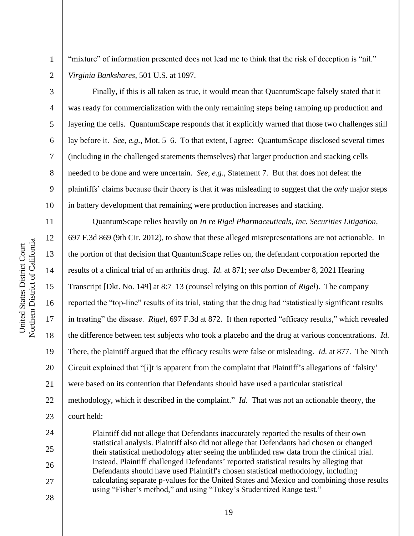1

2

3

4

5

6

7

8

9

10

24

25

26

27

28

"mixture" of information presented does not lead me to think that the risk of deception is "nil." *Virginia Bankshares*, 501 U.S. at 1097.

Finally, if this is all taken as true, it would mean that QuantumScape falsely stated that it was ready for commercialization with the only remaining steps being ramping up production and layering the cells. QuantumScape responds that it explicitly warned that those two challenges still lay before it. *See, e.g.*, Mot. 5–6. To that extent, I agree: QuantumScape disclosed several times (including in the challenged statements themselves) that larger production and stacking cells needed to be done and were uncertain. *See, e.g.*, Statement 7. But that does not defeat the plaintiffs' claims because their theory is that it was misleading to suggest that the *only* major steps in battery development that remaining were production increases and stacking.

11 12 13 14 15 16 17 18 19 20 21 22 23 QuantumScape relies heavily on *In re Rigel Pharmaceuticals, Inc. Securities Litigation*, 697 F.3d 869 (9th Cir. 2012), to show that these alleged misrepresentations are not actionable. In the portion of that decision that QuantumScape relies on, the defendant corporation reported the results of a clinical trial of an arthritis drug. *Id.* at 871; *see also* December 8, 2021 Hearing Transcript [Dkt. No. 149] at 8:7–13 (counsel relying on this portion of *Rigel*). The company reported the "top-line" results of its trial, stating that the drug had "statistically significant results in treating" the disease. *Rigel*, 697 F.3d at 872. It then reported "efficacy results," which revealed the difference between test subjects who took a placebo and the drug at various concentrations. *Id.*  There, the plaintiff argued that the efficacy results were false or misleading. *Id.* at 877. The Ninth Circuit explained that "[i]t is apparent from the complaint that Plaintiff's allegations of 'falsity' were based on its contention that Defendants should have used a particular statistical methodology, which it described in the complaint." *Id.* That was not an actionable theory, the court held:

Plaintiff did not allege that Defendants inaccurately reported the results of their own statistical analysis. Plaintiff also did not allege that Defendants had chosen or changed their statistical methodology after seeing the unblinded raw data from the clinical trial. Instead, Plaintiff challenged Defendants' reported statistical results by alleging that Defendants should have used Plaintiff's chosen statistical methodology, including calculating separate p-values for the United States and Mexico and combining those results using "Fisher's method," and using "Tukey's Studentized Range test."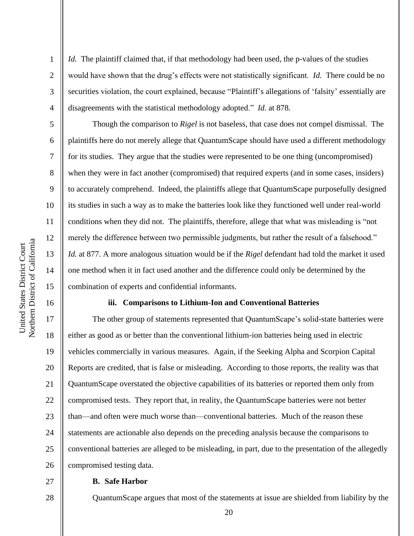2

3

4

5

6

7

8

9

10

11

12

13

14

15

16

17

18

19

21

22

23

25

*Id.* The plaintiff claimed that, if that methodology had been used, the p-values of the studies would have shown that the drug's effects were not statistically significant. *Id.* There could be no securities violation, the court explained, because "Plaintiff's allegations of 'falsity' essentially are disagreements with the statistical methodology adopted." *Id.* at 878.

Though the comparison to *Rigel* is not baseless, that case does not compel dismissal. The plaintiffs here do not merely allege that QuantumScape should have used a different methodology for its studies. They argue that the studies were represented to be one thing (uncompromised) when they were in fact another (compromised) that required experts (and in some cases, insiders) to accurately comprehend. Indeed, the plaintiffs allege that QuantumScape purposefully designed its studies in such a way as to make the batteries look like they functioned well under real-world conditions when they did not. The plaintiffs, therefore, allege that what was misleading is "not merely the difference between two permissible judgments, but rather the result of a falsehood." *Id.* at 877. A more analogous situation would be if the *Rigel* defendant had told the market it used one method when it in fact used another and the difference could only be determined by the combination of experts and confidential informants.

#### **iii. Comparisons to Lithium-Ion and Conventional Batteries**

20 24 26 The other group of statements represented that QuantumScape's solid-state batteries were either as good as or better than the conventional lithium-ion batteries being used in electric vehicles commercially in various measures. Again, if the Seeking Alpha and Scorpion Capital Reports are credited, that is false or misleading. According to those reports, the reality was that QuantumScape overstated the objective capabilities of its batteries or reported them only from compromised tests. They report that, in reality, the QuantumScape batteries were not better than—and often were much worse than—conventional batteries. Much of the reason these statements are actionable also depends on the preceding analysis because the comparisons to conventional batteries are alleged to be misleading, in part, due to the presentation of the allegedly compromised testing data.

### 28

27

### **B. Safe Harbor**

QuantumScape argues that most of the statements at issue are shielded from liability by the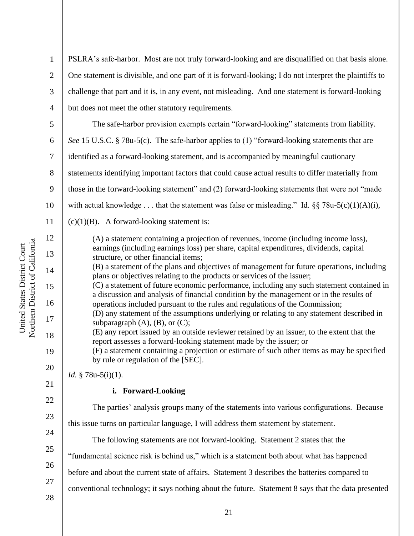1 2 3 4 5 6 7 8 9 10 11 12 13 14 15 16 17 18 19 20 21 22 23 24 25 26 27 PSLRA's safe-harbor. Most are not truly forward-looking and are disqualified on that basis alone. One statement is divisible, and one part of it is forward-looking; I do not interpret the plaintiffs to challenge that part and it is, in any event, not misleading. And one statement is forward-looking but does not meet the other statutory requirements. The safe-harbor provision exempts certain "forward-looking" statements from liability. *See* 15 U.S.C. § 78u-5(c). The safe-harbor applies to (1) "forward-looking statements that are identified as a forward-looking statement, and is accompanied by meaningful cautionary statements identifying important factors that could cause actual results to differ materially from those in the forward-looking statement" and (2) forward-looking statements that were not "made with actual knowledge . . . that the statement was false or misleading." Id.  $\S$  $\S$  78u-5(c)(1)(A)(i),  $(c)(1)(B)$ . A forward-looking statement is: (A) a statement containing a projection of revenues, income (including income loss), earnings (including earnings loss) per share, capital expenditures, dividends, capital structure, or other financial items; (B) a statement of the plans and objectives of management for future operations, including plans or objectives relating to the products or services of the issuer; (C) a statement of future economic performance, including any such statement contained in a discussion and analysis of financial condition by the management or in the results of operations included pursuant to the rules and regulations of the Commission; (D) any statement of the assumptions underlying or relating to any statement described in subparagraph  $(A)$ ,  $(B)$ , or  $(C)$ ; (E) any report issued by an outside reviewer retained by an issuer, to the extent that the report assesses a forward-looking statement made by the issuer; or (F) a statement containing a projection or estimate of such other items as may be specified by rule or regulation of the [SEC]. *Id.* § 78u-5(i)(1). **i. Forward-Looking** The parties' analysis groups many of the statements into various configurations. Because this issue turns on particular language, I will address them statement by statement. The following statements are not forward-looking. Statement 2 states that the "fundamental science risk is behind us," which is a statement both about what has happened before and about the current state of affairs. Statement 3 describes the batteries compared to conventional technology; it says nothing about the future. Statement 8 says that the data presented

Northern District of California Northern District of California United States District Court United States District Court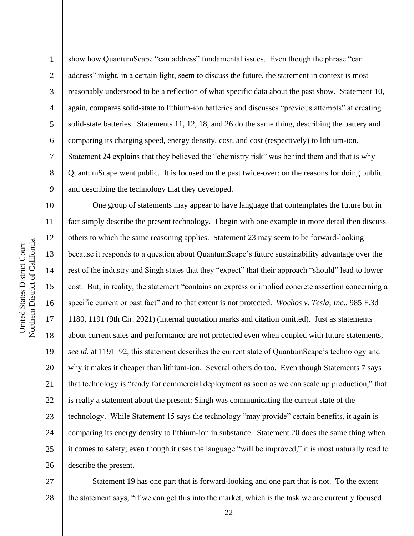1 2 3 4 5 6 7 8 9 show how QuantumScape "can address" fundamental issues. Even though the phrase "can address" might, in a certain light, seem to discuss the future, the statement in context is most reasonably understood to be a reflection of what specific data about the past show. Statement 10, again, compares solid-state to lithium-ion batteries and discusses "previous attempts" at creating solid-state batteries. Statements 11, 12, 18, and 26 do the same thing, describing the battery and comparing its charging speed, energy density, cost, and cost (respectively) to lithium-ion. Statement 24 explains that they believed the "chemistry risk" was behind them and that is why QuantumScape went public. It is focused on the past twice-over: on the reasons for doing public and describing the technology that they developed.

10 11 12 13 14 15 16 17 18 19 20 21 22 23 24 25 26 One group of statements may appear to have language that contemplates the future but in fact simply describe the present technology. I begin with one example in more detail then discuss others to which the same reasoning applies. Statement 23 may seem to be forward-looking because it responds to a question about QuantumScape's future sustainability advantage over the rest of the industry and Singh states that they "expect" that their approach "should" lead to lower cost. But, in reality, the statement "contains an express or implied concrete assertion concerning a specific current or past fact" and to that extent is not protected. *Wochos v. Tesla, Inc.*, 985 F.3d 1180, 1191 (9th Cir. 2021) (internal quotation marks and citation omitted). Just as statements about current sales and performance are not protected even when coupled with future statements, *see id.* at 1191–92, this statement describes the current state of QuantumScape's technology and why it makes it cheaper than lithium-ion. Several others do too. Even though Statements 7 says that technology is "ready for commercial deployment as soon as we can scale up production," that is really a statement about the present: Singh was communicating the current state of the technology. While Statement 15 says the technology "may provide" certain benefits, it again is comparing its energy density to lithium-ion in substance. Statement 20 does the same thing when it comes to safety; even though it uses the language "will be improved," it is most naturally read to describe the present.

27 28 Statement 19 has one part that is forward-looking and one part that is not. To the extent the statement says, "if we can get this into the market, which is the task we are currently focused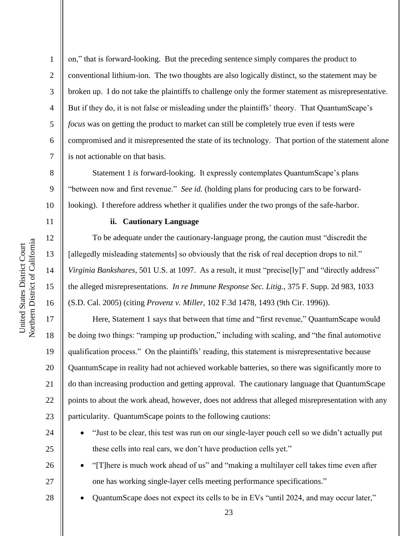2

3

4

5

6

7

8

9

10

11

12

13

14

15

16

17

18

19

20

21

22

23

on," that is forward-looking. But the preceding sentence simply compares the product to conventional lithium-ion. The two thoughts are also logically distinct, so the statement may be broken up. I do not take the plaintiffs to challenge only the former statement as misrepresentative. But if they do, it is not false or misleading under the plaintiffs' theory. That QuantumScape's *focus* was on getting the product to market can still be completely true even if tests were compromised and it misrepresented the state of its technology. That portion of the statement alone is not actionable on that basis.

Statement 1 *is* forward-looking. It expressly contemplates QuantumScape's plans "between now and first revenue." *See id.* (holding plans for producing cars to be forwardlooking). I therefore address whether it qualifies under the two prongs of the safe-harbor.

#### **ii. Cautionary Language**

To be adequate under the cautionary-language prong, the caution must "discredit the [allegedly misleading statements] so obviously that the risk of real deception drops to nil." *Virginia Bankshares*, 501 U.S. at 1097. As a result, it must "precise[ly]" and "directly address" the alleged misrepresentations. *In re Immune Response Sec. Litig.*, 375 F. Supp. 2d 983, 1033 (S.D. Cal. 2005) (citing *Provenz v. Miller*, 102 F.3d 1478, 1493 (9th Cir. 1996)).

Here, Statement 1 says that between that time and "first revenue," QuantumScape would be doing two things: "ramping up production," including with scaling, and "the final automotive qualification process." On the plaintiffs' reading, this statement is misrepresentative because QuantumScape in reality had not achieved workable batteries, so there was significantly more to do than increasing production and getting approval. The cautionary language that QuantumScape points to about the work ahead, however, does not address that alleged misrepresentation with any particularity. QuantumScape points to the following cautions:

24 25

26

27

- "Just to be clear, this test was run on our single-layer pouch cell so we didn't actually put these cells into real cars, we don't have production cells yet."
- "[T]here is much work ahead of us" and "making a multilayer cell takes time even after one has working single-layer cells meeting performance specifications."
- QuantumScape does not expect its cells to be in EVs "until 2024, and may occur later,"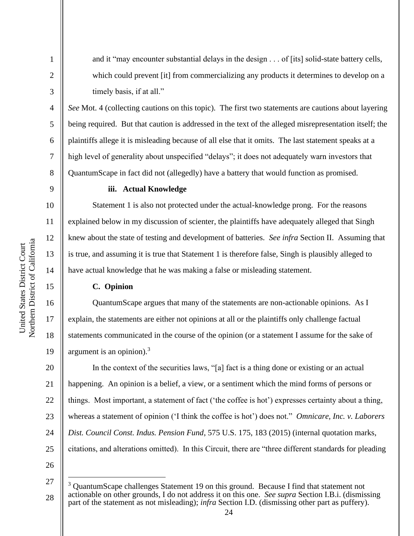1

2

3

4

5

6

7

8

9

10

11

12

13

14

15

16

17

18

19

and it "may encounter substantial delays in the design . . . of [its] solid-state battery cells, which could prevent [it] from commercializing any products it determines to develop on a timely basis, if at all."

*See* Mot. 4 (collecting cautions on this topic). The first two statements are cautions about layering being required. But that caution is addressed in the text of the alleged misrepresentation itself; the plaintiffs allege it is misleading because of all else that it omits. The last statement speaks at a high level of generality about unspecified "delays"; it does not adequately warn investors that QuantumScape in fact did not (allegedly) have a battery that would function as promised.

## **iii. Actual Knowledge**

Statement 1 is also not protected under the actual-knowledge prong. For the reasons explained below in my discussion of scienter, the plaintiffs have adequately alleged that Singh knew about the state of testing and development of batteries. *See infra* Section II. Assuming that is true, and assuming it is true that Statement 1 is therefore false, Singh is plausibly alleged to have actual knowledge that he was making a false or misleading statement.

# **C. Opinion**

QuantumScape argues that many of the statements are non-actionable opinions. As I explain, the statements are either not opinions at all or the plaintiffs only challenge factual statements communicated in the course of the opinion (or a statement I assume for the sake of argument is an opinion). $3$ 

20 21 22 23 24 25 In the context of the securities laws, "[a] fact is a thing done or existing or an actual happening. An opinion is a belief, a view, or a sentiment which the mind forms of persons or things. Most important, a statement of fact ('the coffee is hot') expresses certainty about a thing, whereas a statement of opinion ('I think the coffee is hot') does not." *Omnicare, Inc. v. Laborers Dist. Council Const. Indus. Pension Fund*, 575 U.S. 175, 183 (2015) (internal quotation marks, citations, and alterations omitted). In this Circuit, there are "three different standards for pleading

<sup>27</sup> 28 <sup>3</sup> QuantumScape challenges Statement 19 on this ground. Because I find that statement not actionable on other grounds, I do not address it on this one. *See supra* Section I.B.i. (dismissing part of the statement as not misleading); *infra* Section I.D. (dismissing other part as puffery).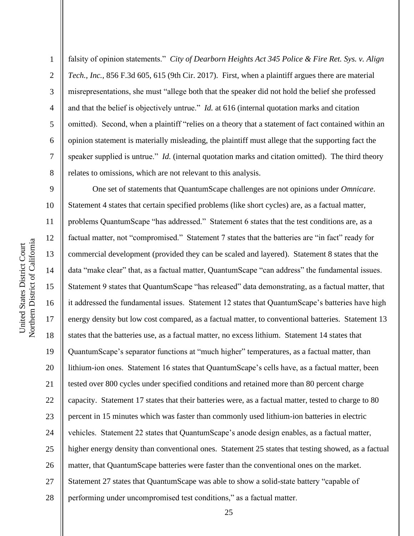falsity of opinion statements." *City of Dearborn Heights Act 345 Police & Fire Ret. Sys. v. Align Tech., Inc.*, 856 F.3d 605, 615 (9th Cir. 2017). First, when a plaintiff argues there are material misrepresentations, she must "allege both that the speaker did not hold the belief she professed and that the belief is objectively untrue." *Id.* at 616 (internal quotation marks and citation omitted). Second, when a plaintiff "relies on a theory that a statement of fact contained within an opinion statement is materially misleading, the plaintiff must allege that the supporting fact the speaker supplied is untrue." *Id.* (internal quotation marks and citation omitted). The third theory relates to omissions, which are not relevant to this analysis.

9 10 11 12 13 14 15 16 17 18 19 20 21 22 23 24 25 26 27 28 One set of statements that QuantumScape challenges are not opinions under *Omnicare*. Statement 4 states that certain specified problems (like short cycles) are, as a factual matter, problems QuantumScape "has addressed." Statement 6 states that the test conditions are, as a factual matter, not "compromised." Statement 7 states that the batteries are "in fact" ready for commercial development (provided they can be scaled and layered). Statement 8 states that the data "make clear" that, as a factual matter, QuantumScape "can address" the fundamental issues. Statement 9 states that QuantumScape "has released" data demonstrating, as a factual matter, that it addressed the fundamental issues. Statement 12 states that QuantumScape's batteries have high energy density but low cost compared, as a factual matter, to conventional batteries. Statement 13 states that the batteries use, as a factual matter, no excess lithium. Statement 14 states that QuantumScape's separator functions at "much higher" temperatures, as a factual matter, than lithium-ion ones. Statement 16 states that QuantumScape's cells have, as a factual matter, been tested over 800 cycles under specified conditions and retained more than 80 percent charge capacity. Statement 17 states that their batteries were, as a factual matter, tested to charge to 80 percent in 15 minutes which was faster than commonly used lithium-ion batteries in electric vehicles. Statement 22 states that QuantumScape's anode design enables, as a factual matter, higher energy density than conventional ones. Statement 25 states that testing showed, as a factual matter, that QuantumScape batteries were faster than the conventional ones on the market. Statement 27 states that QuantumScape was able to show a solid-state battery "capable of performing under uncompromised test conditions," as a factual matter.

1

2

3

4

5

6

7

8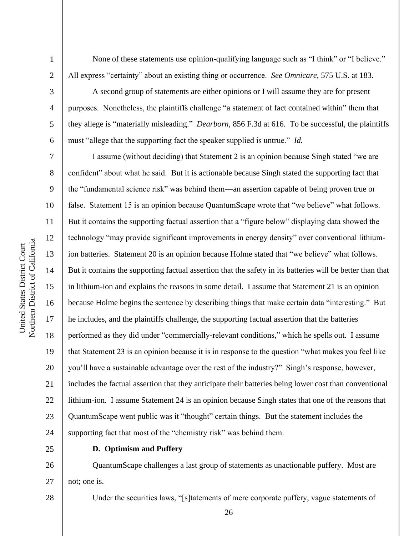1

2

3

4

5

6

7

8

9

10

11

12

13

14

15

16

17

18

19

20

21

22

23

24

None of these statements use opinion-qualifying language such as "I think" or "I believe." All express "certainty" about an existing thing or occurrence. *See Omnicare*, 575 U.S. at 183.

A second group of statements are either opinions or I will assume they are for present purposes. Nonetheless, the plaintiffs challenge "a statement of fact contained within" them that they allege is "materially misleading." *Dearborn*, 856 F.3d at 616. To be successful, the plaintiffs must "allege that the supporting fact the speaker supplied is untrue." *Id.*

I assume (without deciding) that Statement 2 is an opinion because Singh stated "we are confident" about what he said. But it is actionable because Singh stated the supporting fact that the "fundamental science risk" was behind them—an assertion capable of being proven true or false. Statement 15 is an opinion because QuantumScape wrote that "we believe" what follows. But it contains the supporting factual assertion that a "figure below" displaying data showed the technology "may provide significant improvements in energy density" over conventional lithiumion batteries. Statement 20 is an opinion because Holme stated that "we believe" what follows. But it contains the supporting factual assertion that the safety in its batteries will be better than that in lithium-ion and explains the reasons in some detail. I assume that Statement 21 is an opinion because Holme begins the sentence by describing things that make certain data "interesting." But he includes, and the plaintiffs challenge, the supporting factual assertion that the batteries performed as they did under "commercially-relevant conditions," which he spells out. I assume that Statement 23 is an opinion because it is in response to the question "what makes you feel like you'll have a sustainable advantage over the rest of the industry?" Singh's response, however, includes the factual assertion that they anticipate their batteries being lower cost than conventional lithium-ion. I assume Statement 24 is an opinion because Singh states that one of the reasons that QuantumScape went public was it "thought" certain things. But the statement includes the supporting fact that most of the "chemistry risk" was behind them.

25

### **D. Optimism and Puffery**

26 27 QuantumScape challenges a last group of statements as unactionable puffery. Most are not; one is.

28

26

Under the securities laws, "[s]tatements of mere corporate puffery, vague statements of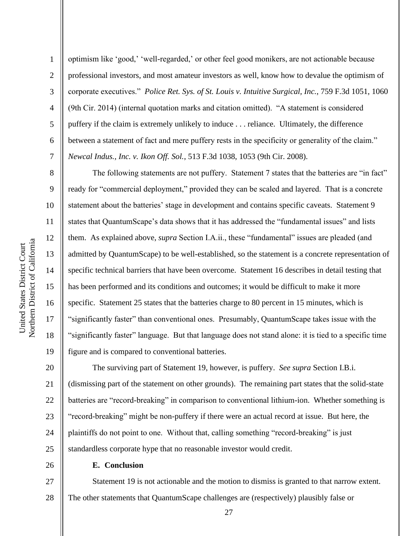9

10

11

12

13

14

15

16

17

18

19

1 2 3 4 5 6 7 optimism like 'good,' 'well-regarded,' or other feel good monikers, are not actionable because professional investors, and most amateur investors as well, know how to devalue the optimism of corporate executives." *Police Ret. Sys. of St. Louis v. Intuitive Surgical, Inc.*, 759 F.3d 1051, 1060 (9th Cir. 2014) (internal quotation marks and citation omitted). "A statement is considered puffery if the claim is extremely unlikely to induce . . . reliance. Ultimately, the difference between a statement of fact and mere puffery rests in the specificity or generality of the claim." *Newcal Indus., Inc. v. Ikon Off. Sol.*, 513 F.3d 1038, 1053 (9th Cir. 2008).

The following statements are not puffery. Statement 7 states that the batteries are "in fact" ready for "commercial deployment," provided they can be scaled and layered. That is a concrete statement about the batteries' stage in development and contains specific caveats. Statement 9 states that QuantumScape's data shows that it has addressed the "fundamental issues" and lists them. As explained above, *supra* Section I.A.ii., these "fundamental" issues are pleaded (and admitted by QuantumScape) to be well-established, so the statement is a concrete representation of specific technical barriers that have been overcome. Statement 16 describes in detail testing that has been performed and its conditions and outcomes; it would be difficult to make it more specific. Statement 25 states that the batteries charge to 80 percent in 15 minutes, which is "significantly faster" than conventional ones. Presumably, QuantumScape takes issue with the "significantly faster" language. But that language does not stand alone: it is tied to a specific time figure and is compared to conventional batteries.

20 21 22 23 24 25 The surviving part of Statement 19, however, is puffery. *See supra* Section I.B.i. (dismissing part of the statement on other grounds). The remaining part states that the solid-state batteries are "record-breaking" in comparison to conventional lithium-ion. Whether something is "record-breaking" might be non-puffery if there were an actual record at issue. But here, the plaintiffs do not point to one. Without that, calling something "record-breaking" is just standardless corporate hype that no reasonable investor would credit.

26

**E. Conclusion**

27 28 Statement 19 is not actionable and the motion to dismiss is granted to that narrow extent. The other statements that QuantumScape challenges are (respectively) plausibly false or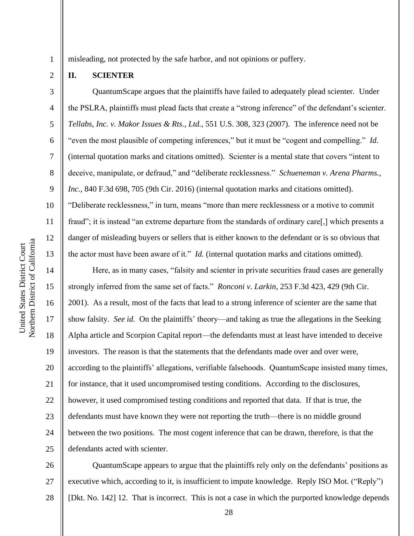5

6

7

8

9

10

11

12

13

1

misleading, not protected by the safe harbor, and not opinions or puffery.

### **II. SCIENTER**

QuantumScape argues that the plaintiffs have failed to adequately plead scienter. Under the PSLRA, plaintiffs must plead facts that create a "strong inference" of the defendant's scienter. *Tellabs, Inc. v. Makor Issues & Rts., Ltd.*, 551 U.S. 308, 323 (2007). The inference need not be "even the most plausible of competing inferences," but it must be "cogent and compelling." *Id.*  (internal quotation marks and citations omitted). Scienter is a mental state that covers "intent to deceive, manipulate, or defraud," and "deliberate recklessness." *Schueneman v. Arena Pharms., Inc.*, 840 F.3d 698, 705 (9th Cir. 2016) (internal quotation marks and citations omitted). "Deliberate recklessness," in turn, means "more than mere recklessness or a motive to commit fraud"; it is instead "an extreme departure from the standards of ordinary care[,] which presents a danger of misleading buyers or sellers that is either known to the defendant or is so obvious that the actor must have been aware of it." *Id.* (internal quotation marks and citations omitted).

14 15 16 17 18 19 20 21 22 23 24 25 Here, as in many cases, "falsity and scienter in private securities fraud cases are generally strongly inferred from the same set of facts." *Ronconi v. Larkin*, 253 F.3d 423, 429 (9th Cir. 2001). As a result, most of the facts that lead to a strong inference of scienter are the same that show falsity. *See id.* On the plaintiffs' theory—and taking as true the allegations in the Seeking Alpha article and Scorpion Capital report—the defendants must at least have intended to deceive investors. The reason is that the statements that the defendants made over and over were, according to the plaintiffs' allegations, verifiable falsehoods. QuantumScape insisted many times, for instance, that it used uncompromised testing conditions. According to the disclosures, however, it used compromised testing conditions and reported that data. If that is true, the defendants must have known they were not reporting the truth—there is no middle ground between the two positions. The most cogent inference that can be drawn, therefore, is that the defendants acted with scienter.

26 27 28 QuantumScape appears to argue that the plaintiffs rely only on the defendants' positions as executive which, according to it, is insufficient to impute knowledge. Reply ISO Mot. ("Reply") [Dkt. No. 142] 12. That is incorrect. This is not a case in which the purported knowledge depends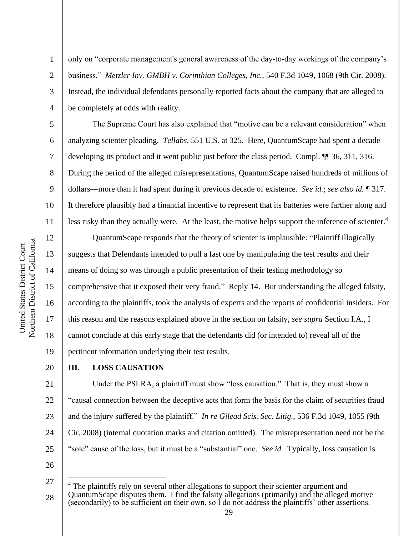2

3

4

5

6

7

8

9

10

11

12

13

14

15

17

18

19

20

only on "corporate management's general awareness of the day-to-day workings of the company's business." *Metzler Inv. GMBH v. Corinthian Colleges, Inc.*, 540 F.3d 1049, 1068 (9th Cir. 2008). Instead, the individual defendants personally reported facts about the company that are alleged to be completely at odds with reality.

The Supreme Court has also explained that "motive can be a relevant consideration" when analyzing scienter pleading. *Tellabs*, 551 U.S. at 325. Here, QuantumScape had spent a decade developing its product and it went public just before the class period. Compl. ¶¶ 36, 311, 316. During the period of the alleged misrepresentations, QuantumScape raised hundreds of millions of dollars—more than it had spent during it previous decade of existence. *See id.*; *see also id.* ¶ 317. It therefore plausibly had a financial incentive to represent that its batteries were farther along and less risky than they actually were. At the least, the motive helps support the inference of scienter.<sup>4</sup>

16 QuantumScape responds that the theory of scienter is implausible: "Plaintiff illogically suggests that Defendants intended to pull a fast one by manipulating the test results and their means of doing so was through a public presentation of their testing methodology so comprehensive that it exposed their very fraud." Reply 14. But understanding the alleged falsity, according to the plaintiffs, took the analysis of experts and the reports of confidential insiders. For this reason and the reasons explained above in the section on falsity, *see supra* Section I.A., I cannot conclude at this early stage that the defendants did (or intended to) reveal all of the pertinent information underlying their test results.

### **III. LOSS CAUSATION**

21 22 23 24 25 Under the PSLRA, a plaintiff must show "loss causation." That is, they must show a "causal connection between the deceptive acts that form the basis for the claim of securities fraud and the injury suffered by the plaintiff." *In re Gilead Scis. Sec. Litig.*, 536 F.3d 1049, 1055 (9th Cir. 2008) (internal quotation marks and citation omitted). The misrepresentation need not be the "sole" cause of the loss, but it must be a "substantial" one. *See id.* Typically, loss causation is

<sup>27</sup> 28 <sup>4</sup> The plaintiffs rely on several other allegations to support their scienter argument and QuantumScape disputes them. I find the falsity allegations (primarily) and the alleged motive (secondarily) to be sufficient on their own, so I do not address the plaintiffs' other assertions.